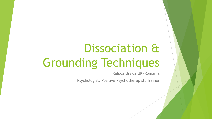# Dissociation & Grounding Techniques

Raluca Ursica UK/Romania

Psychologist, Positive Psychotherapist, Trainer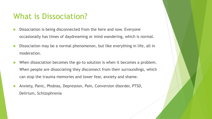#### What is Dissociation?

- Dissociation is being disconnected from the here and now. Everyone occasionally has times of daydreaming or mind wandering, which is normal.
- Dissociation may be a normal phenomenon, but like everything in life, all in moderation.
- When dissociation becomes the go-to solution is when it becomes a problem. When people are dissociating they disconnect from their surroundings, which can stop the trauma memories and lower fear, anxiety and shame.
- Anxiety, Panic, Phobias, Depression, Pain, Conversion disorder, PTSD, Delirium, Schizophrenia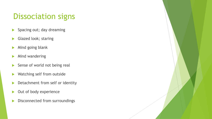## Dissociation signs

- Spacing out; day dreaming
- Glazed look; staring
- Mind going blank
- $\blacktriangleright$  Mind wandering
- Sense of world not being real
- $\blacktriangleright$  Watching self from outside
- Detachment from self or identity
- Out of body experience
- Disconnected from surroundings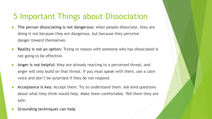## 5 Important Things about Dissociation

- The person dissociating is not dangerous: when people dissociate, they are doing it not because *they* are dangerous, but because they perceive danger *toward themselves*.
- **Reality is not an option:** Trying to reason with someone who has dissociated is not going to be effective.
- Anger is not helpful: they are already reacting to a perceived threat, and anger will only build on that threat. If you must speak with them, use a calm voice and don't be surprised if they do not respond.
- Acceptance is key: Accept them. Try to understand them. Ask kind questions about what they think would help. Make them comfortable. Tell them they are safe.
- **Grounding techniques can help**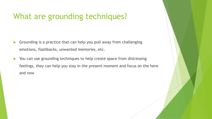## What are grounding techniques?

- $\blacktriangleright$  Grounding is a practice that can help you pull away from challenging emotions, flashbacks, unwanted memories, etc.
- $\blacktriangleright$  You can use grounding techniques to help create space from distressing feelings, they can help you stay in the present moment and focus on the here and now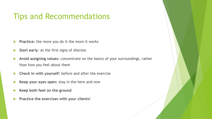#### Tips and Recommendations

- **Practice:** the more you do it the more it works
- **Start early:** at the first signs of distress
- Avoid assigning values: concentrate on the basics of your surroundings, rather than how you feel about them
- **EX Check in with yourself:** before and after the exercise
- Keep your eyes open: stay in the here and now
- Keep both feet on the ground
- Practice the exercises with your clients!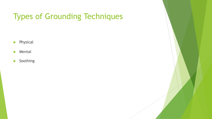# Types of Grounding Techniques

- $\blacktriangleright$  Physical
- $\blacktriangleright$  Mental
- $\blacktriangleright$  Soothing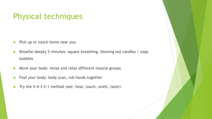#### Physical techniques

- $\blacktriangleright$  Pick up or touch items near you
- ▶ Breathe deeply 3 minutes: square breathing, blowing out candles / soap bubbles
- Move your body: tense and relax different muscle groups
- $\blacktriangleright$  Feel your body: body scan, rub hands together
- Try the 5-4-3-2-1 method (see, hear, touch, smell, taste)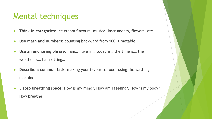#### Mental techniques

- **Think in categories:** ice cream flavours, musical instruments, flowers, etc
- Use math and numbers: counting backward from 100, timetable
- ▶ Use an anchoring phrase: I am... I live in... today is... the time is... the weather is… I am sitting…
- **Describe a common task:** making your favourite food, using the washing machine
- ▶ 3 step breathing space: How is my mind?, How am I feeling?, How is my body? Now breathe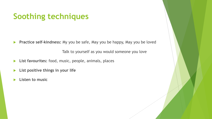## **Soothing techniques**

**Practice self-kindness:** My you be safe, May you be happy, May you be loved

Talk to yourself as you would someone you love

- **List favourites:** food, music, people, animals, places
- List positive things in your life
- **Listen to music**